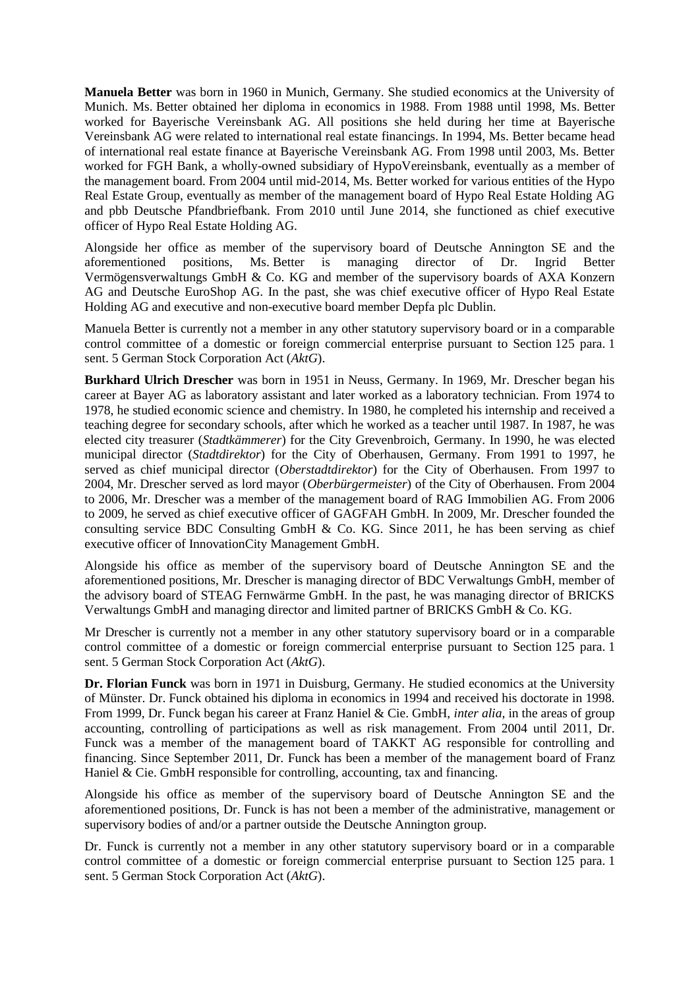**Manuela Better** was born in 1960 in Munich, Germany. She studied economics at the University of Munich. Ms. Better obtained her diploma in economics in 1988. From 1988 until 1998, Ms. Better worked for Bayerische Vereinsbank AG. All positions she held during her time at Bayerische Vereinsbank AG were related to international real estate financings. In 1994, Ms. Better became head of international real estate finance at Bayerische Vereinsbank AG. From 1998 until 2003, Ms. Better worked for FGH Bank, a wholly-owned subsidiary of HypoVereinsbank, eventually as a member of the management board. From 2004 until mid-2014, Ms. Better worked for various entities of the Hypo Real Estate Group, eventually as member of the management board of Hypo Real Estate Holding AG and pbb Deutsche Pfandbriefbank. From 2010 until June 2014, she functioned as chief executive officer of Hypo Real Estate Holding AG.

Alongside her office as member of the supervisory board of Deutsche Annington SE and the aforementioned positions, Ms. Better is managing director of Dr. Ingrid Better Vermögensverwaltungs GmbH & Co. KG and member of the supervisory boards of AXA Konzern AG and Deutsche EuroShop AG. In the past, she was chief executive officer of Hypo Real Estate Holding AG and executive and non-executive board member Depfa plc Dublin.

Manuela Better is currently not a member in any other statutory supervisory board or in a comparable control committee of a domestic or foreign commercial enterprise pursuant to Section 125 para. 1 sent. 5 German Stock Corporation Act (*AktG*).

**Burkhard Ulrich Drescher** was born in 1951 in Neuss, Germany. In 1969, Mr. Drescher began his career at Bayer AG as laboratory assistant and later worked as a laboratory technician. From 1974 to 1978, he studied economic science and chemistry. In 1980, he completed his internship and received a teaching degree for secondary schools, after which he worked as a teacher until 1987. In 1987, he was elected city treasurer (*Stadtkämmerer*) for the City Grevenbroich, Germany. In 1990, he was elected municipal director (*Stadtdirektor*) for the City of Oberhausen, Germany. From 1991 to 1997, he served as chief municipal director (*Oberstadtdirektor*) for the City of Oberhausen. From 1997 to 2004, Mr. Drescher served as lord mayor (*Oberbürgermeister*) of the City of Oberhausen. From 2004 to 2006, Mr. Drescher was a member of the management board of RAG Immobilien AG. From 2006 to 2009, he served as chief executive officer of GAGFAH GmbH. In 2009, Mr. Drescher founded the consulting service BDC Consulting GmbH & Co. KG. Since 2011, he has been serving as chief executive officer of InnovationCity Management GmbH.

Alongside his office as member of the supervisory board of Deutsche Annington SE and the aforementioned positions, Mr. Drescher is managing director of BDC Verwaltungs GmbH, member of the advisory board of STEAG Fernwärme GmbH. In the past, he was managing director of BRICKS Verwaltungs GmbH and managing director and limited partner of BRICKS GmbH & Co. KG.

Mr Drescher is currently not a member in any other statutory supervisory board or in a comparable control committee of a domestic or foreign commercial enterprise pursuant to Section 125 para. 1 sent. 5 German Stock Corporation Act (*AktG*).

**Dr. Florian Funck** was born in 1971 in Duisburg, Germany. He studied economics at the University of Münster. Dr. Funck obtained his diploma in economics in 1994 and received his doctorate in 1998. From 1999, Dr. Funck began his career at Franz Haniel & Cie. GmbH, *inter alia*, in the areas of group accounting, controlling of participations as well as risk management. From 2004 until 2011, Dr. Funck was a member of the management board of TAKKT AG responsible for controlling and financing. Since September 2011, Dr. Funck has been a member of the management board of Franz Haniel & Cie. GmbH responsible for controlling, accounting, tax and financing.

Alongside his office as member of the supervisory board of Deutsche Annington SE and the aforementioned positions, Dr. Funck is has not been a member of the administrative, management or supervisory bodies of and/or a partner outside the Deutsche Annington group.

Dr. Funck is currently not a member in any other statutory supervisory board or in a comparable control committee of a domestic or foreign commercial enterprise pursuant to Section 125 para. 1 sent. 5 German Stock Corporation Act (*AktG*).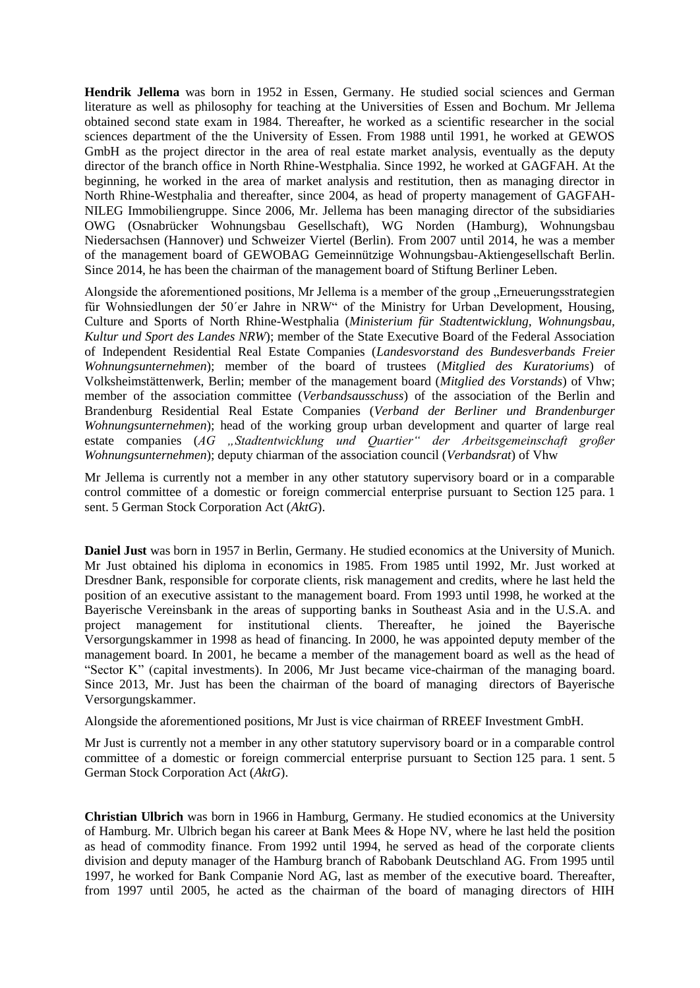**Hendrik Jellema** was born in 1952 in Essen, Germany. He studied social sciences and German literature as well as philosophy for teaching at the Universities of Essen and Bochum. Mr Jellema obtained second state exam in 1984. Thereafter, he worked as a scientific researcher in the social sciences department of the the University of Essen. From 1988 until 1991, he worked at GEWOS GmbH as the project director in the area of real estate market analysis, eventually as the deputy director of the branch office in North Rhine-Westphalia. Since 1992, he worked at GAGFAH. At the beginning, he worked in the area of market analysis and restitution, then as managing director in North Rhine-Westphalia and thereafter, since 2004, as head of property management of GAGFAH-NILEG Immobiliengruppe. Since 2006, Mr. Jellema has been managing director of the subsidiaries OWG (Osnabrücker Wohnungsbau Gesellschaft), WG Norden (Hamburg), Wohnungsbau Niedersachsen (Hannover) und Schweizer Viertel (Berlin). From 2007 until 2014, he was a member of the management board of GEWOBAG Gemeinnützige Wohnungsbau-Aktiengesellschaft Berlin. Since 2014, he has been the chairman of the management board of Stiftung Berliner Leben.

Alongside the aforementioned positions, Mr Jellema is a member of the group "Erneuerungsstrategien für Wohnsiedlungen der 50´er Jahre in NRW" of the Ministry for Urban Development, Housing, Culture and Sports of North Rhine-Westphalia (*Ministerium für Stadtentwicklung, Wohnungsbau, Kultur und Sport des Landes NRW*); member of the State Executive Board of the Federal Association of Independent Residential Real Estate Companies (*Landesvorstand des Bundesverbands Freier Wohnungsunternehmen*); member of the board of trustees (*Mitglied des Kuratoriums*) of Volksheimstättenwerk, Berlin; member of the management board (*Mitglied des Vorstands*) of Vhw; member of the association committee (*Verbandsausschuss*) of the association of the Berlin and Brandenburg Residential Real Estate Companies (*Verband der Berliner und Brandenburger Wohnungsunternehmen*); head of the working group urban development and quarter of large real estate companies (AG "Stadtentwicklung und Quartier" der Arbeitsgemeinschaft großer *Wohnungsunternehmen*); deputy chiarman of the association council (*Verbandsrat*) of Vhw

Mr Jellema is currently not a member in any other statutory supervisory board or in a comparable control committee of a domestic or foreign commercial enterprise pursuant to Section 125 para. 1 sent. 5 German Stock Corporation Act (*AktG*).

**Daniel Just** was born in 1957 in Berlin, Germany. He studied economics at the University of Munich. Mr Just obtained his diploma in economics in 1985. From 1985 until 1992, Mr. Just worked at Dresdner Bank, responsible for corporate clients, risk management and credits, where he last held the position of an executive assistant to the management board. From 1993 until 1998, he worked at the Bayerische Vereinsbank in the areas of supporting banks in Southeast Asia and in the U.S.A. and project management for institutional clients. Thereafter, he joined the Bayerische Versorgungskammer in 1998 as head of financing. In 2000, he was appointed deputy member of the management board. In 2001, he became a member of the management board as well as the head of "Sector K" (capital investments). In 2006, Mr Just became vice-chairman of the managing board. Since 2013, Mr. Just has been the chairman of the board of managing directors of Bayerische Versorgungskammer.

Alongside the aforementioned positions, Mr Just is vice chairman of RREEF Investment GmbH.

Mr Just is currently not a member in any other statutory supervisory board or in a comparable control committee of a domestic or foreign commercial enterprise pursuant to Section 125 para. 1 sent. 5 German Stock Corporation Act (*AktG*).

**Christian Ulbrich** was born in 1966 in Hamburg, Germany. He studied economics at the University of Hamburg. Mr. Ulbrich began his career at Bank Mees & Hope NV, where he last held the position as head of commodity finance. From 1992 until 1994, he served as head of the corporate clients division and deputy manager of the Hamburg branch of Rabobank Deutschland AG. From 1995 until 1997, he worked for Bank Companie Nord AG, last as member of the executive board. Thereafter, from 1997 until 2005, he acted as the chairman of the board of managing directors of HIH